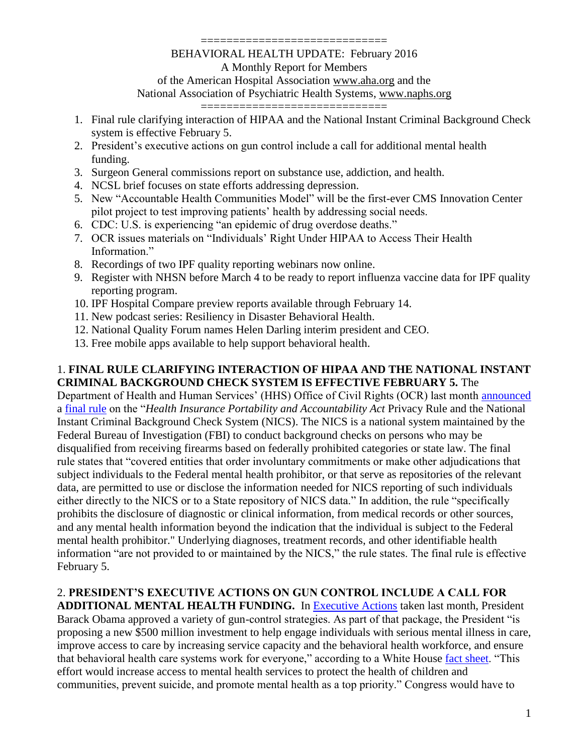#### =================================

#### BEHAVIORAL HEALTH UPDATE: February 2016 A Monthly Report for Members of the American Hospital Association [www.aha.org](http://www.aha.org/) and the National Association of Psychiatric Health Systems, [www.naphs.org](http://www.naphs.org/)

=================================

- 1. Final rule clarifying interaction of HIPAA and the National Instant Criminal Background Check system is effective February 5.
- 2. President's executive actions on gun control include a call for additional mental health funding.
- 3. Surgeon General commissions report on substance use, addiction, and health.
- 4. NCSL brief focuses on state efforts addressing depression.
- 5. New "Accountable Health Communities Model" will be the first-ever CMS Innovation Center pilot project to test improving patients' health by addressing social needs.
- 6. CDC: U.S. is experiencing "an epidemic of drug overdose deaths."
- 7. OCR issues materials on "Individuals' Right Under HIPAA to Access Their Health Information."
- 8. Recordings of two IPF quality reporting webinars now online.
- 9. Register with NHSN before March 4 to be ready to report influenza vaccine data for IPF quality reporting program.
- 10. IPF Hospital Compare preview reports available through February 14.
- 11. New podcast series: Resiliency in Disaster Behavioral Health.
- 12. National Quality Forum names Helen Darling interim president and CEO.
- 13. Free mobile apps available to help support behavioral health.

#### 1. **FINAL RULE CLARIFYING INTERACTION OF HIPAA AND THE NATIONAL INSTANT CRIMINAL BACKGROUND CHECK SYSTEM IS EFFECTIVE FEBRUARY 5.** The

Department of Health and Human Services' (HHS) Office of Civil Rights (OCR) last month [announced](http://www.hhs.gov/blog/2016/01/04/obama-administration-modifies-hipaa.html) a [final rule](https://www.federalregister.gov/articles/2016/01/06/2015-33181/health-insurance-portability-and-accountability-act-privacy-rule-and-the-national-instant-criminal) on the "*Health Insurance Portability and Accountability Act* Privacy Rule and the National Instant Criminal Background Check System (NICS). The NICS is a national system maintained by the Federal Bureau of Investigation (FBI) to conduct background checks on persons who may be disqualified from receiving firearms based on federally prohibited categories or state law. The final rule states that "covered entities that order involuntary commitments or make other adjudications that subject individuals to the Federal mental health prohibitor, or that serve as repositories of the relevant data, are permitted to use or disclose the information needed for NICS reporting of such individuals either directly to the NICS or to a State repository of NICS data." In addition, the rule "specifically prohibits the disclosure of diagnostic or clinical information, from medical records or other sources, and any mental health information beyond the indication that the individual is subject to the Federal mental health prohibitor." Underlying diagnoses, treatment records, and other identifiable health information "are not provided to or maintained by the NICS," the rule states. The final rule is effective February 5.

## 2. **PRESIDENT'S EXECUTIVE ACTIONS ON GUN CONTROL INCLUDE A CALL FOR**

**ADDITIONAL MENTAL HEALTH FUNDING.** In [Executive Actions](https://www.whitehouse.gov/blog/2016/01/04/live-updates-what-president-doing-keep-guns-out-wrong-hands) taken last month, President Barack Obama approved a variety of gun-control strategies. As part of that package, the President "is proposing a new \$500 million investment to help engage individuals with serious mental illness in care, improve access to care by increasing service capacity and the behavioral health workforce, and ensure that behavioral health care systems work for everyone," according to a White House [fact sheet.](https://www.whitehouse.gov/the-press-office/2016/01/04/fact-sheet-new-executive-actions-reduce-gun-violence-and-make-our) "This effort would increase access to mental health services to protect the health of children and communities, prevent suicide, and promote mental health as a top priority." Congress would have to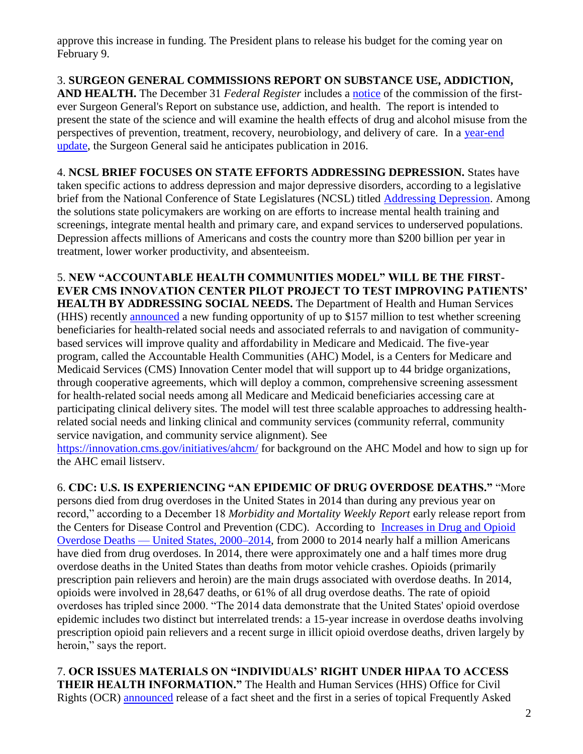approve this increase in funding. The President plans to release his budget for the coming year on February 9.

3. **SURGEON GENERAL COMMISSIONS REPORT ON SUBSTANCE USE, ADDICTION, AND HEALTH.** The December 31 *Federal Register* includes a [notice](https://www.gpo.gov/fdsys/pkg/FR-2015-12-31/pdf/2015-32929.pdf) of the commission of the firstever Surgeon General's Report on substance use, addiction, and health. The report is intended to present the state of the science and will examine the health effects of drug and alcohol misuse from the perspectives of prevention, treatment, recovery, neurobiology, and delivery of care. In a [year-end](http://content.govdelivery.com/accounts/USHHS/bulletins/12dca9a)  [update,](http://content.govdelivery.com/accounts/USHHS/bulletins/12dca9a) the Surgeon General said he anticipates publication in 2016.

4. **NCSL BRIEF FOCUSES ON STATE EFFORTS ADDRESSING DEPRESSION.** States have taken specific actions to address depression and major depressive disorders, according to a legislative brief from the National Conference of State Legislatures (NCSL) titled [Addressing Depression.](http://www.ncsl.org/documents/legisbriefs/lb_2348.pdf) Among the solutions state policymakers are working on are efforts to increase mental health training and screenings, integrate mental health and primary care, and expand services to underserved populations. Depression affects millions of Americans and costs the country more than \$200 billion per year in treatment, lower worker productivity, and absenteeism.

5. **NEW "ACCOUNTABLE HEALTH COMMUNITIES MODEL" WILL BE THE FIRST-EVER CMS INNOVATION CENTER PILOT PROJECT TO TEST IMPROVING PATIENTS' HEALTH BY ADDRESSING SOCIAL NEEDS.** The Department of Health and Human Services (HHS) recently [announced](http://www.hhs.gov/about/news/2016/01/05/first-ever-cms-innovation-center-pilot-project-test-improving-patients-health.html) a new funding opportunity of up to \$157 million to test whether screening beneficiaries for health-related social needs and associated referrals to and navigation of communitybased services will improve quality and affordability in Medicare and Medicaid. The five-year program, called the Accountable Health Communities (AHC) Model, is a Centers for Medicare and Medicaid Services (CMS) Innovation Center model that will support up to 44 bridge organizations, through cooperative agreements, which will deploy a common, comprehensive screening assessment for health-related social needs among all Medicare and Medicaid beneficiaries accessing care at participating clinical delivery sites. The model will test three scalable approaches to addressing healthrelated social needs and linking clinical and community services (community referral, community service navigation, and community service alignment). See

<https://innovation.cms.gov/initiatives/ahcm/> for background on the AHC Model and how to sign up for the AHC email listserv.

6. **CDC: U.S. IS EXPERIENCING "AN EPIDEMIC OF DRUG OVERDOSE DEATHS."** "More persons died from drug overdoses in the United States in 2014 than during any previous year on record," according to a December 18 *Morbidity and Mortality Weekly Report* early release report from the Centers for Disease Control and Prevention (CDC). According to [Increases in Drug and Opioid](http://www.cdc.gov/mmwr/preview/mmwrhtml/mm64e1218a1.htm?s_cid=mm64e1218a1_w)  Overdose Deaths — [United States, 2000–2014,](http://www.cdc.gov/mmwr/preview/mmwrhtml/mm64e1218a1.htm?s_cid=mm64e1218a1_w) from 2000 to 2014 nearly half a million Americans have died from drug overdoses. In 2014, there were approximately one and a half times more drug overdose deaths in the United States than deaths from motor vehicle crashes. Opioids (primarily prescription pain relievers and heroin) are the main drugs associated with overdose deaths. In 2014, opioids were involved in 28,647 deaths, or 61% of all drug overdose deaths. The rate of opioid overdoses has tripled since 2000. "The 2014 data demonstrate that the United States' opioid overdose epidemic includes two distinct but interrelated trends: a 15-year increase in overdose deaths involving prescription opioid pain relievers and a recent surge in illicit opioid overdose deaths, driven largely by heroin," says the report.

7. **OCR ISSUES MATERIALS ON "INDIVIDUALS' RIGHT UNDER HIPAA TO ACCESS THEIR HEALTH INFORMATION."** The Health and Human Services (HHS) Office for Civil Rights (OCR) [announced](http://www.hhs.gov/blog/2016/01/07/understanding-individuals-right-under-hipaa-access-their.html) release of a fact sheet and the first in a series of topical Frequently Asked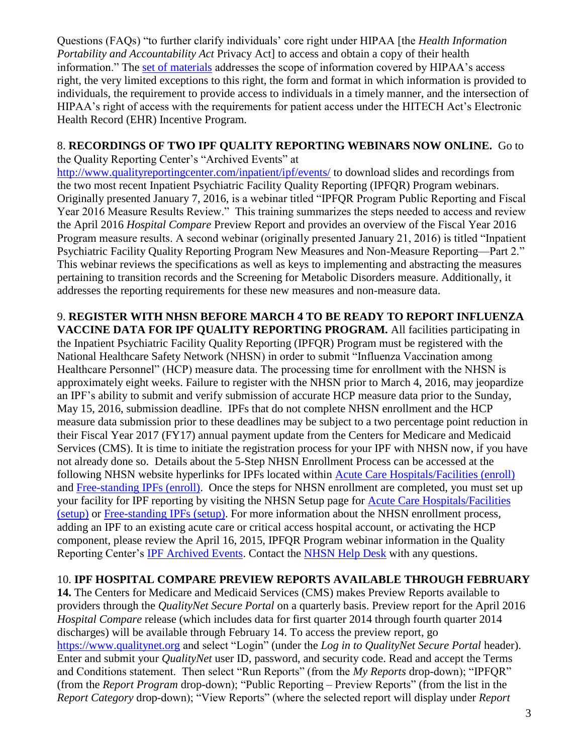Questions (FAQs) "to further clarify individuals' core right under HIPAA [the *Health Information Portability and Accountability Act Privacy Act* to access and obtain a copy of their health information." The [set of materials](http://www.hhs.gov/hipaa/for-professionals/privacy/guidance/access/index.html) addresses the scope of information covered by HIPAA's access right, the very limited exceptions to this right, the form and format in which information is provided to individuals, the requirement to provide access to individuals in a timely manner, and the intersection of HIPAA's right of access with the requirements for patient access under the HITECH Act's Electronic Health Record (EHR) Incentive Program.

### 8. **RECORDINGS OF TWO IPF QUALITY REPORTING WEBINARS NOW ONLINE.** Go to

the Quality Reporting Center's "Archived Events" at <http://www.qualityreportingcenter.com/inpatient/ipf/events/> to download slides and recordings from the two most recent Inpatient Psychiatric Facility Quality Reporting (IPFQR) Program webinars. Originally presented January 7, 2016, is a webinar titled "IPFQR Program Public Reporting and Fiscal Year 2016 Measure Results Review." This training summarizes the steps needed to access and review the April 2016 *Hospital Compare* Preview Report and provides an overview of the Fiscal Year 2016 Program measure results. A second webinar (originally presented January 21, 2016) is titled "Inpatient Psychiatric Facility Quality Reporting Program New Measures and Non-Measure Reporting—Part 2." This webinar reviews the specifications as well as keys to implementing and abstracting the measures pertaining to transition records and the Screening for Metabolic Disorders measure. Additionally, it addresses the reporting requirements for these new measures and non-measure data.

#### 9. **REGISTER WITH NHSN BEFORE MARCH 4 TO BE READY TO REPORT INFLUENZA VACCINE DATA FOR IPF QUALITY REPORTING PROGRAM.** All facilities participating in the Inpatient Psychiatric Facility Quality Reporting (IPFQR) Program must be registered with the National Healthcare Safety Network (NHSN) in order to submit "Influenza Vaccination among Healthcare Personnel" (HCP) measure data. The processing time for enrollment with the NHSN is approximately eight weeks. Failure to register with the NHSN prior to March 4, 2016, may jeopardize an IPF's ability to submit and verify submission of accurate HCP measure data prior to the Sunday, May 15, 2016, submission deadline. IPFs that do not complete NHSN enrollment and the HCP measure data submission prior to these deadlines may be subject to a two percentage point reduction in their Fiscal Year 2017 (FY17) annual payment update from the Centers for Medicare and Medicaid Services (CMS). It is time to initiate the registration process for your IPF with NHSN now, if you have not already done so. Details about the 5-Step NHSN Enrollment Process can be accessed at the following NHSN website hyperlinks for IPFs located within [Acute Care Hospitals/Facilities \(enroll\)](http://www.cdc.gov/nhsn/acute-care-hospital/enroll.html) and [Free-standing IPFs \(enroll\).](http://www.cdc.gov/nhsn/ipfs/enroll.html) Once the steps for NHSN enrollment are completed, you must set up your facility for IPF reporting by visiting the NHSN Setup page for [Acute Care Hospitals/Facilities](http://www.cdc.gov/nhsn/acute-care-hospital/setup.html)  [\(setup\)](http://www.cdc.gov/nhsn/acute-care-hospital/setup.html) or [Free-standing IPFs \(setup\).](http://www.cdc.gov/nhsn/ipfs/setup.html) For more information about the NHSN enrollment process, adding an IPF to an existing acute care or critical access hospital account, or activating the HCP component, please review the April 16, 2015, IPFQR Program webinar information in the Quality Reporting Center's [IPF Archived Events.](http://www.qualityreportingcenter.com/inpatient/ipf/events/) Contact the [NHSN Help Desk](mailto:NHSN@cdc.gov) with any questions.

## 10. **IPF HOSPITAL COMPARE PREVIEW REPORTS AVAILABLE THROUGH FEBRUARY**

**14.** The Centers for Medicare and Medicaid Services (CMS) makes Preview Reports available to providers through the *QualityNet Secure Portal* on a quarterly basis. Preview report for the April 2016 *Hospital Compare* release (which includes data for first quarter 2014 through fourth quarter 2014 discharges) will be available through February 14. To access the preview report, go [https://www.qualitynet.org](https://www.qualitynet.org/) and select "Login" (under the *Log in to QualityNet Secure Portal* header). Enter and submit your *QualityNet* user ID, password, and security code. Read and accept the Terms and Conditions statement. Then select "Run Reports" (from the *My Reports* drop-down); "IPFQR" (from the *Report Program* drop-down); "Public Reporting – Preview Reports" (from the list in the *Report Category* drop-down); "View Reports" (where the selected report will display under *Report*